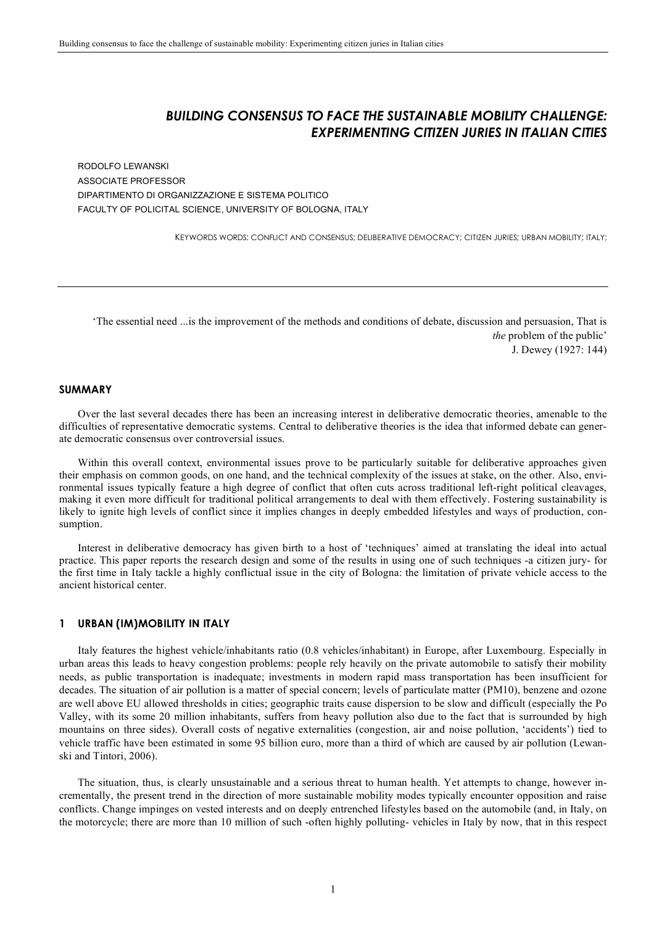# *BUILDING CONSENSUS TO FACE THE SUSTAINABLE MOBILITY CHALLENGE: EXPERIMENTING CITIZEN JURIES IN ITALIAN CITIES*

RODOLFO LEWANSKI ASSOCIATE PROFESSOR DIPARTIMENTO DI ORGANIZZAZIONE E SISTEMA POLITICO FACULTY OF POLICITAL SCIENCE, UNIVERSITY OF BOLOGNA, ITALY

KEYWORDS WORDS: CONFLICT AND CONSENSUS; DELIBERATIVE DEMOCRACY; CITIZEN JURIES; URBAN MOBILITY; ITALY;

'The essential need ...is the improvement of the methods and conditions of debate, discussion and persuasion, That is *the* problem of the public' J. Dewey (1927: 144)

# **SUMMARY**

Over the last several decades there has been an increasing interest in deliberative democratic theories, amenable to the difficulties of representative democratic systems. Central to deliberative theories is the idea that informed debate can generate democratic consensus over controversial issues.

Within this overall context, environmental issues prove to be particularly suitable for deliberative approaches given their emphasis on common goods, on one hand, and the technical complexity of the issues at stake, on the other. Also, environmental issues typically feature a high degree of conflict that often cuts across traditional left-right political cleavages, making it even more difficult for traditional political arrangements to deal with them effectively. Fostering sustainability is likely to ignite high levels of conflict since it implies changes in deeply embedded lifestyles and ways of production, consumption.

Interest in deliberative democracy has given birth to a host of 'techniques' aimed at translating the ideal into actual practice. This paper reports the research design and some of the results in using one of such techniques -a citizen jury- for the first time in Italy tackle a highly conflictual issue in the city of Bologna: the limitation of private vehicle access to the ancient historical center.

### **1 URBAN (IM)MOBILITY IN ITALY**

Italy features the highest vehicle/inhabitants ratio (0.8 vehicles/inhabitant) in Europe, after Luxembourg. Especially in urban areas this leads to heavy congestion problems: people rely heavily on the private automobile to satisfy their mobility needs, as public transportation is inadequate; investments in modern rapid mass transportation has been insufficient for decades. The situation of air pollution is a matter of special concern; levels of particulate matter (PM10), benzene and ozone are well above EU allowed thresholds in cities; geographic traits cause dispersion to be slow and difficult (especially the Po Valley, with its some 20 million inhabitants, suffers from heavy pollution also due to the fact that is surrounded by high mountains on three sides). Overall costs of negative externalities (congestion, air and noise pollution, 'accidents') tied to vehicle traffic have been estimated in some 95 billion euro, more than a third of which are caused by air pollution (Lewanski and Tintori, 2006).

The situation, thus, is clearly unsustainable and a serious threat to human health. Yet attempts to change, however incrementally, the present trend in the direction of more sustainable mobility modes typically encounter opposition and raise conflicts. Change impinges on vested interests and on deeply entrenched lifestyles based on the automobile (and, in Italy, on the motorcycle; there are more than 10 million of such -often highly polluting- vehicles in Italy by now, that in this respect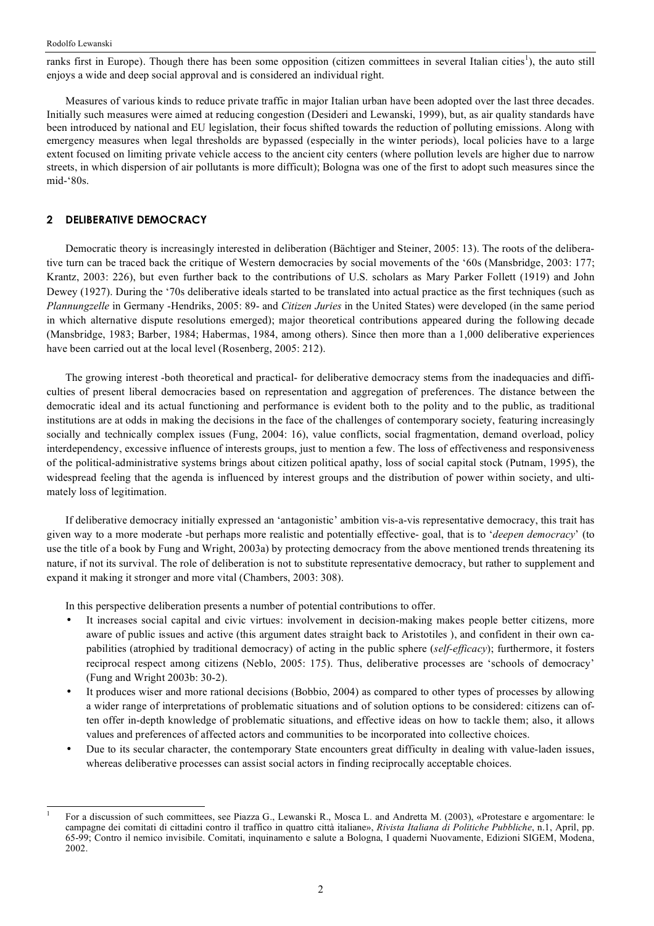ranks first in Europe). Though there has been some opposition (citizen committees in several Italian cities<sup>1</sup>), the auto still enjoys a wide and deep social approval and is considered an individual right.

Measures of various kinds to reduce private traffic in major Italian urban have been adopted over the last three decades. Initially such measures were aimed at reducing congestion (Desideri and Lewanski, 1999), but, as air quality standards have been introduced by national and EU legislation, their focus shifted towards the reduction of polluting emissions. Along with emergency measures when legal thresholds are bypassed (especially in the winter periods), local policies have to a large extent focused on limiting private vehicle access to the ancient city centers (where pollution levels are higher due to narrow streets, in which dispersion of air pollutants is more difficult); Bologna was one of the first to adopt such measures since the mid-'80s.

# **2 DELIBERATIVE DEMOCRACY**

Democratic theory is increasingly interested in deliberation (Bächtiger and Steiner, 2005: 13). The roots of the deliberative turn can be traced back the critique of Western democracies by social movements of the '60s (Mansbridge, 2003: 177; Krantz, 2003: 226), but even further back to the contributions of U.S. scholars as Mary Parker Follett (1919) and John Dewey (1927). During the '70s deliberative ideals started to be translated into actual practice as the first techniques (such as *Plannungzelle* in Germany -Hendriks, 2005: 89- and *Citizen Juries* in the United States) were developed (in the same period in which alternative dispute resolutions emerged); major theoretical contributions appeared during the following decade (Mansbridge, 1983; Barber, 1984; Habermas, 1984, among others). Since then more than a 1,000 deliberative experiences have been carried out at the local level (Rosenberg, 2005: 212).

The growing interest -both theoretical and practical- for deliberative democracy stems from the inadequacies and difficulties of present liberal democracies based on representation and aggregation of preferences. The distance between the democratic ideal and its actual functioning and performance is evident both to the polity and to the public, as traditional institutions are at odds in making the decisions in the face of the challenges of contemporary society, featuring increasingly socially and technically complex issues (Fung, 2004: 16), value conflicts, social fragmentation, demand overload, policy interdependency, excessive influence of interests groups, just to mention a few. The loss of effectiveness and responsiveness of the political-administrative systems brings about citizen political apathy, loss of social capital stock (Putnam, 1995), the widespread feeling that the agenda is influenced by interest groups and the distribution of power within society, and ultimately loss of legitimation.

If deliberative democracy initially expressed an 'antagonistic' ambition vis-a-vis representative democracy, this trait has given way to a more moderate -but perhaps more realistic and potentially effective- goal, that is to '*deepen democracy*' (to use the title of a book by Fung and Wright, 2003a) by protecting democracy from the above mentioned trends threatening its nature, if not its survival. The role of deliberation is not to substitute representative democracy, but rather to supplement and expand it making it stronger and more vital (Chambers, 2003: 308).

In this perspective deliberation presents a number of potential contributions to offer.

- It increases social capital and civic virtues: involvement in decision-making makes people better citizens, more aware of public issues and active (this argument dates straight back to Aristotiles ), and confident in their own capabilities (atrophied by traditional democracy) of acting in the public sphere (*self-efficacy*); furthermore, it fosters reciprocal respect among citizens (Neblo, 2005: 175). Thus, deliberative processes are 'schools of democracy' (Fung and Wright 2003b: 30-2).
- It produces wiser and more rational decisions (Bobbio, 2004) as compared to other types of processes by allowing a wider range of interpretations of problematic situations and of solution options to be considered: citizens can often offer in-depth knowledge of problematic situations, and effective ideas on how to tackle them; also, it allows values and preferences of affected actors and communities to be incorporated into collective choices.
- Due to its secular character, the contemporary State encounters great difficulty in dealing with value-laden issues, whereas deliberative processes can assist social actors in finding reciprocally acceptable choices.

 <sup>1</sup> For <sup>a</sup> discussion of such committees, see Piazza G., Lewanski R., Mosca L. and Andretta M. (2003), «Protestare <sup>e</sup> argomentare: le campagne dei comitati di cittadini contro il traffico in quattro città italiane», *Rivista Italiana di Politiche Pubbliche*, n.1, April, pp. 65-99; Contro il nemico invisibile. Comitati, inquinamento e salute a Bologna, I quaderni Nuovamente, Edizioni SIGEM, Modena, 2002.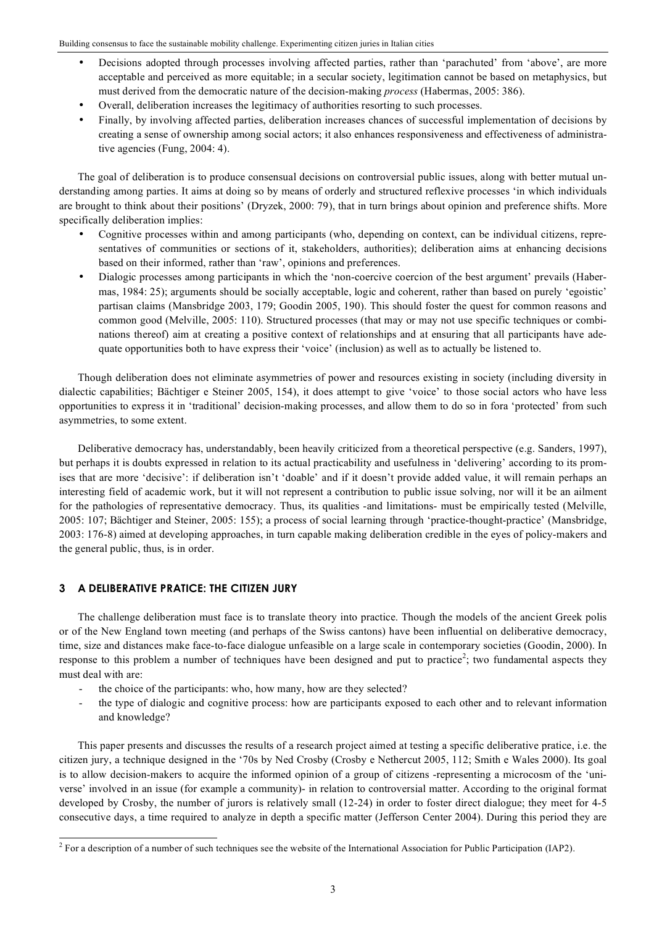- Decisions adopted through processes involving affected parties, rather than 'parachuted' from 'above', are more acceptable and perceived as more equitable; in a secular society, legitimation cannot be based on metaphysics, but must derived from the democratic nature of the decision-making *process* (Habermas, 2005: 386).
- Overall, deliberation increases the legitimacy of authorities resorting to such processes.
- Finally, by involving affected parties, deliberation increases chances of successful implementation of decisions by creating a sense of ownership among social actors; it also enhances responsiveness and effectiveness of administrative agencies (Fung, 2004: 4).

The goal of deliberation is to produce consensual decisions on controversial public issues, along with better mutual understanding among parties. It aims at doing so by means of orderly and structured reflexive processes 'in which individuals are brought to think about their positions' (Dryzek, 2000: 79), that in turn brings about opinion and preference shifts. More specifically deliberation implies:

- Cognitive processes within and among participants (who, depending on context, can be individual citizens, representatives of communities or sections of it, stakeholders, authorities); deliberation aims at enhancing decisions based on their informed, rather than 'raw', opinions and preferences.
- Dialogic processes among participants in which the 'non-coercive coercion of the best argument' prevails (Habermas, 1984: 25); arguments should be socially acceptable, logic and coherent, rather than based on purely 'egoistic' partisan claims (Mansbridge 2003, 179; Goodin 2005, 190). This should foster the quest for common reasons and common good (Melville, 2005: 110). Structured processes (that may or may not use specific techniques or combinations thereof) aim at creating a positive context of relationships and at ensuring that all participants have adequate opportunities both to have express their 'voice' (inclusion) as well as to actually be listened to.

Though deliberation does not eliminate asymmetries of power and resources existing in society (including diversity in dialectic capabilities; Bächtiger e Steiner 2005, 154), it does attempt to give 'voice' to those social actors who have less opportunities to express it in 'traditional' decision-making processes, and allow them to do so in fora 'protected' from such asymmetries, to some extent.

Deliberative democracy has, understandably, been heavily criticized from a theoretical perspective (e.g. Sanders, 1997), but perhaps it is doubts expressed in relation to its actual practicability and usefulness in 'delivering' according to its promises that are more 'decisive': if deliberation isn't 'doable' and if it doesn't provide added value, it will remain perhaps an interesting field of academic work, but it will not represent a contribution to public issue solving, nor will it be an ailment for the pathologies of representative democracy. Thus, its qualities -and limitations- must be empirically tested (Melville, 2005: 107; Bächtiger and Steiner, 2005: 155); a process of social learning through 'practice-thought-practice' (Mansbridge, 2003: 176-8) aimed at developing approaches, in turn capable making deliberation credible in the eyes of policy-makers and the general public, thus, is in order.

# **3 A DELIBERATIVE PRATICE: THE CITIZEN JURY**

The challenge deliberation must face is to translate theory into practice. Though the models of the ancient Greek polis or of the New England town meeting (and perhaps of the Swiss cantons) have been influential on deliberative democracy, time, size and distances make face-to-face dialogue unfeasible on a large scale in contemporary societies (Goodin, 2000). In response to this problem a number of techniques have been designed and put to practice<sup>2</sup>; two fundamental aspects they must deal with are:

- the choice of the participants: who, how many, how are they selected?
- the type of dialogic and cognitive process: how are participants exposed to each other and to relevant information and knowledge?

This paper presents and discusses the results of a research project aimed at testing a specific deliberative pratice, i.e. the citizen jury, a technique designed in the '70s by Ned Crosby (Crosby e Nethercut 2005, 112; Smith e Wales 2000). Its goal is to allow decision-makers to acquire the informed opinion of a group of citizens -representing a microcosm of the 'universe' involved in an issue (for example a community)- in relation to controversial matter. According to the original format developed by Crosby, the number of jurors is relatively small (12-24) in order to foster direct dialogue; they meet for 4-5 consecutive days, a time required to analyze in depth a specific matter (Jefferson Center 2004). During this period they are

 $2$  For a description of a number of such techniques see the website of the International Association for Public Participation (IAP2).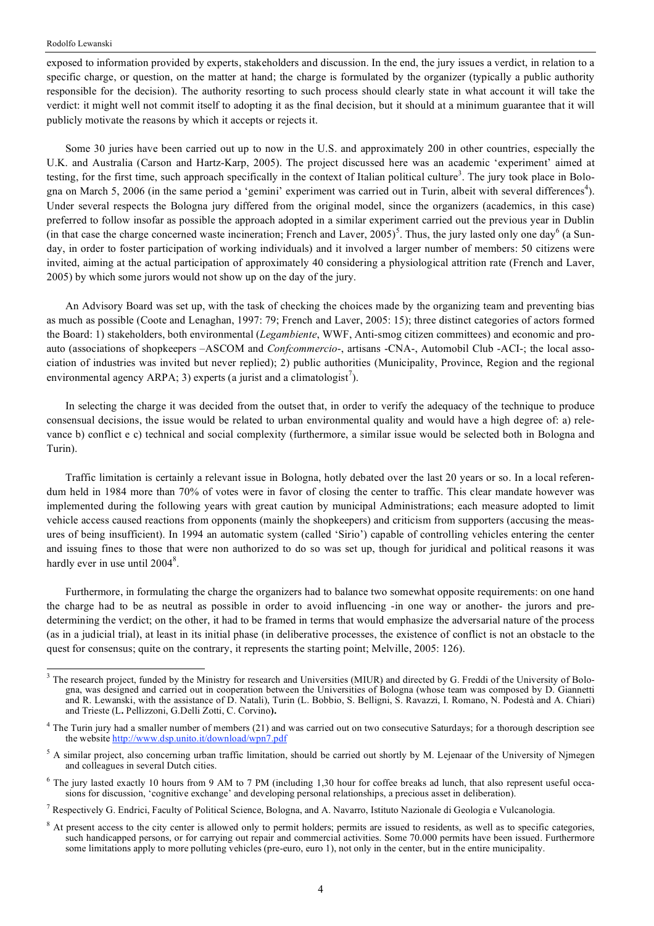exposed to information provided by experts, stakeholders and discussion. In the end, the jury issues a verdict, in relation to a specific charge, or question, on the matter at hand; the charge is formulated by the organizer (typically a public authority responsible for the decision). The authority resorting to such process should clearly state in what account it will take the verdict: it might well not commit itself to adopting it as the final decision, but it should at a minimum guarantee that it will publicly motivate the reasons by which it accepts or rejects it.

Some 30 juries have been carried out up to now in the U.S. and approximately 200 in other countries, especially the U.K. and Australia (Carson and Hartz-Karp, 2005). The project discussed here was an academic 'experiment' aimed at testing, for the first time, such approach specifically in the context of Italian political culture<sup>3</sup>. The jury took place in Bologna on March 5, 2006 (in the same period a 'gemini' experiment was carried out in Turin, albeit with several differences<sup>4</sup>). Under several respects the Bologna jury differed from the original model, since the organizers (academics, in this case) preferred to follow insofar as possible the approach adopted in a similar experiment carried out the previous year in Dublin (in that case the charge concerned waste incineration; French and Laver, 2005)<sup>5</sup>. Thus, the jury lasted only one day<sup>6</sup> (a Sunday, in order to foster participation of working individuals) and it involved a larger number of members: 50 citizens were invited, aiming at the actual participation of approximately 40 considering a physiological attrition rate (French and Laver, 2005) by which some jurors would not show up on the day of the jury.

An Advisory Board was set up, with the task of checking the choices made by the organizing team and preventing bias as much as possible (Coote and Lenaghan, 1997: 79; French and Laver, 2005: 15); three distinct categories of actors formed the Board: 1) stakeholders, both environmental (*Legambiente*, WWF, Anti-smog citizen committees) and economic and proauto (associations of shopkeepers –ASCOM and *Confcommercio*-, artisans -CNA-, Automobil Club -ACI-; the local association of industries was invited but never replied); 2) public authorities (Municipality, Province, Region and the regional environmental agency ARPA; 3) experts (a jurist and a climatologist<sup>7</sup>).

In selecting the charge it was decided from the outset that, in order to verify the adequacy of the technique to produce consensual decisions, the issue would be related to urban environmental quality and would have a high degree of: a) relevance b) conflict e c) technical and social complexity (furthermore, a similar issue would be selected both in Bologna and Turin).

Traffic limitation is certainly a relevant issue in Bologna, hotly debated over the last 20 years or so. In a local referendum held in 1984 more than 70% of votes were in favor of closing the center to traffic. This clear mandate however was implemented during the following years with great caution by municipal Administrations; each measure adopted to limit vehicle access caused reactions from opponents (mainly the shopkeepers) and criticism from supporters (accusing the measures of being insufficient). In 1994 an automatic system (called 'Sirio') capable of controlling vehicles entering the center and issuing fines to those that were non authorized to do so was set up, though for juridical and political reasons it was hardly ever in use until  $2004^8$ .

Furthermore, in formulating the charge the organizers had to balance two somewhat opposite requirements: on one hand the charge had to be as neutral as possible in order to avoid influencing -in one way or another- the jurors and predetermining the verdict; on the other, it had to be framed in terms that would emphasize the adversarial nature of the process (as in a judicial trial), at least in its initial phase (in deliberative processes, the existence of conflict is not an obstacle to the quest for consensus; quite on the contrary, it represents the starting point; Melville, 2005; 126).

<sup>&</sup>lt;sup>3</sup> The research project, funded by the Ministry for research and Universities (MIUR) and directed by G. Freddi of the University of Bologna, was designed and carried out in cooperation between the Universities of Bologna (whose team was composed by D. Giannetti and R. Lewanski, with the assistance of D. Natali), Turin (L. Bobbio, S. Belligni, S. Ravazzi, I. Romano, N. Podestà and A. Chiari) and Trieste (L**.** Pellizzoni, G.Delli Zotti, C. Corvino**).**

<sup>&</sup>lt;sup>4</sup> The Turin jury had a smaller number of members (21) and was carried out on two consecutive Saturdays; for a thorough description see the website http://www.dsp.unito.it/download/wpn7.pdf

<sup>&</sup>lt;sup>5</sup> A similar project, also concerning urban traffic limitation, should be carried out shortly by M. Lejenaar of the University of Njmegen and colleagues in several Dutch cities.

<sup>6</sup> The jury lasted exactly 10 hours from 9 AM to 7 PM (including 1,30 hour for coffee breaks ad lunch, that also represent useful occasions for discussion, 'cognitive exchange' and developing personal relationships, a precious asset in deliberation).

<sup>7</sup> Respectively G. Endrici, Faculty of Political Science, Bologna, and A. Navarro, Istituto Nazionale di Geologia e Vulcanologia.

<sup>&</sup>lt;sup>8</sup> At present access to the city center is allowed only to permit holders; permits are issued to residents, as well as to specific categories, such handicapped persons, or for carrying out repair and commercial activities. Some 70.000 permits have been issued. Furthermore some limitations apply to more polluting vehicles (pre-euro, euro 1), not only in the center, but in the entire municipality.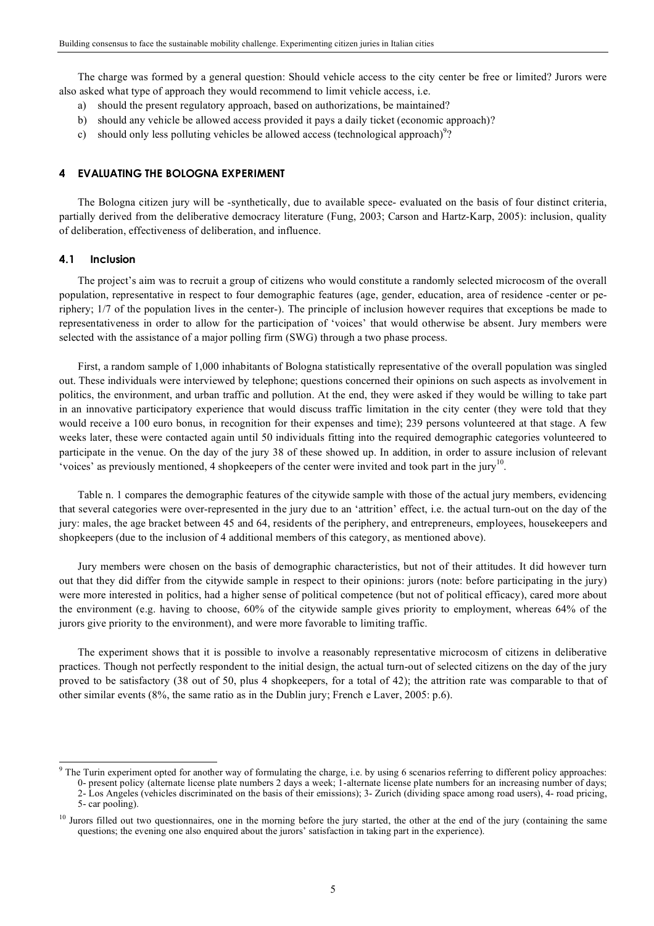The charge was formed by a general question: Should vehicle access to the city center be free or limited? Jurors were also asked what type of approach they would recommend to limit vehicle access, i.e.

- a) should the present regulatory approach, based on authorizations, be maintained?
- b) should any vehicle be allowed access provided it pays a daily ticket (economic approach)?
- c) should only less polluting vehicles be allowed access (technological approach)<sup>9</sup>?

#### **4 EVALUATING THE BOLOGNA EXPERIMENT**

The Bologna citizen jury will be -synthetically, due to available spece- evaluated on the basis of four distinct criteria, partially derived from the deliberative democracy literature (Fung, 2003; Carson and Hartz-Karp, 2005): inclusion, quality of deliberation, effectiveness of deliberation, and influence.

### **4.1 Inclusion**

The project's aim was to recruit a group of citizens who would constitute a randomly selected microcosm of the overall population, representative in respect to four demographic features (age, gender, education, area of residence -center or periphery; 1/7 of the population lives in the center-). The principle of inclusion however requires that exceptions be made to representativeness in order to allow for the participation of 'voices' that would otherwise be absent. Jury members were selected with the assistance of a major polling firm (SWG) through a two phase process.

First, a random sample of 1,000 inhabitants of Bologna statistically representative of the overall population was singled out. These individuals were interviewed by telephone; questions concerned their opinions on such aspects as involvement in politics, the environment, and urban traffic and pollution. At the end, they were asked if they would be willing to take part in an innovative participatory experience that would discuss traffic limitation in the city center (they were told that they would receive a 100 euro bonus, in recognition for their expenses and time); 239 persons volunteered at that stage. A few weeks later, these were contacted again until 50 individuals fitting into the required demographic categories volunteered to participate in the venue. On the day of the jury 38 of these showed up. In addition, in order to assure inclusion of relevant 'voices' as previously mentioned, 4 shopkeepers of the center were invited and took part in the jury<sup>10</sup>.

Table n. 1 compares the demographic features of the citywide sample with those of the actual jury members, evidencing that several categories were over-represented in the jury due to an 'attrition' effect, i.e. the actual turn-out on the day of the jury: males, the age bracket between 45 and 64, residents of the periphery, and entrepreneurs, employees, housekeepers and shopkeepers (due to the inclusion of 4 additional members of this category, as mentioned above).

Jury members were chosen on the basis of demographic characteristics, but not of their attitudes. It did however turn out that they did differ from the citywide sample in respect to their opinions: jurors (note: before participating in the jury) were more interested in politics, had a higher sense of political competence (but not of political efficacy), cared more about the environment (e.g. having to choose, 60% of the citywide sample gives priority to employment, whereas 64% of the jurors give priority to the environment), and were more favorable to limiting traffic.

The experiment shows that it is possible to involve a reasonably representative microcosm of citizens in deliberative practices. Though not perfectly respondent to the initial design, the actual turn-out of selected citizens on the day of the jury proved to be satisfactory (38 out of 50, plus 4 shopkeepers, for a total of 42); the attrition rate was comparable to that of other similar events (8%, the same ratio as in the Dublin jury; French e Laver, 2005: p.6).

 $9$  The Turin experiment opted for another way of formulating the charge, i.e. by using 6 scenarios referring to different policy approaches: 0- present policy (alternate license plate numbers 2 days a week; 1-alternate license plate numbers for an increasing number of days; 2- Los Angeles (vehicles discriminated on the basis of their emissions); 3- Zurich (dividing space among road users), 4- road pricing, 5- car pooling).

<sup>&</sup>lt;sup>10</sup> Jurors filled out two questionnaires, one in the morning before the jury started, the other at the end of the jury (containing the same questions; the evening one also enquired about the jurors' satisfaction in taking part in the experience).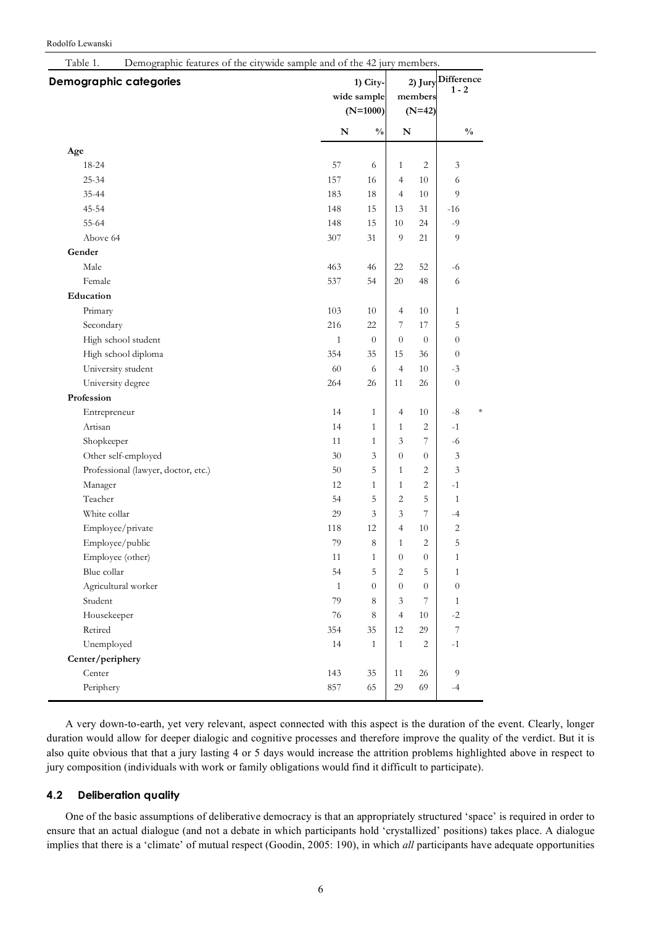#### Rodolfo Lewanski

| <b>Demographic categories</b>       |              | 1) City-<br>wide sample |                          | 2) Jury<br>members |                | <b>Difference</b><br>$1 - 2$ |
|-------------------------------------|--------------|-------------------------|--------------------------|--------------------|----------------|------------------------------|
|                                     |              | $(N=1000)$              | $(N=42)$                 |                    |                |                              |
|                                     | ${\bf N}$    | $\frac{0}{0}$           | ${\bf N}$                |                    |                | $\frac{0}{0}$                |
| Age                                 |              |                         |                          |                    |                |                              |
| 18-24                               | 57           | 6                       | $\mathbf{1}$             | $\overline{c}$     | 3              |                              |
| $25 - 34$                           | 157          | 16                      | $\overline{4}$           | 10                 | 6              |                              |
| $35 - 44$                           | 183          | 18                      | $\overline{\mathcal{L}}$ | $10\,$             | 9              |                              |
| $45 - 54$                           | 148          | 15                      | 13                       | 31                 | $-16$          |                              |
| 55-64                               | 148          | 15                      | 10                       | 24                 | $-9$           |                              |
| Above 64                            | 307          | 31                      | 9                        | 21                 | 9              |                              |
| Gender                              |              |                         |                          |                    |                |                              |
| Male                                | 463          | 46                      | 22                       | 52                 | $-6$           |                              |
| Female                              | 537          | 54                      | 20                       | 48                 | 6              |                              |
| Education                           |              |                         |                          |                    |                |                              |
| Primary                             | 103          | 10                      | $\overline{4}$           | $10\,$             | $\mathbf{1}$   |                              |
| Secondary                           | 216          | 22                      | $\overline{7}$           | 17                 | 5              |                              |
| High school student                 | $\mathbf{1}$ | $\theta$                | $\overline{0}$           | $\overline{0}$     | $\overline{0}$ |                              |
| High school diploma                 | 354          | 35                      | 15                       | 36                 | $\overline{0}$ |                              |
| University student                  | 60           | 6                       | $\overline{4}$           | 10                 | $-3$           |                              |
| University degree                   | 264          | 26                      | 11                       | 26                 | $\theta$       |                              |
| Profession                          |              |                         |                          |                    |                |                              |
| Entrepreneur                        | 14           | $\mathbf{1}$            | $\overline{4}$           | 10                 | $\mbox{-}8$    | $\ast$                       |
| Artisan                             | 14           | $\mathbf{1}$            | $\mathbf{1}$             | 2                  | $-1$           |                              |
| Shopkeeper                          | 11           | $\mathbf{1}$            | 3                        | 7                  | $-6$           |                              |
| Other self-employed                 | $30\,$       | 3                       | $\boldsymbol{0}$         | $\boldsymbol{0}$   | $\mathfrak{Z}$ |                              |
| Professional (lawyer, doctor, etc.) | 50           | 5                       | $\mathbf{1}$             | 2                  | 3              |                              |
| Manager                             | 12           | $\mathbf{1}$            | $\mathbf{1}$             | 2                  | $-1$           |                              |
| Teacher                             | 54           | 5                       | $\overline{c}$           | 5                  | $\mathbf{1}$   |                              |
| White collar                        | 29           | $\overline{3}$          | 3                        | $\boldsymbol{7}$   | $-4$           |                              |
| Employee/private                    | 118          | 12                      | $\overline{\mathcal{L}}$ | $10\,$             | $\sqrt{2}$     |                              |
| Employee/public                     | 79           | 8                       | $\mathbf{1}$             | $\overline{2}$     | 5              |                              |
| Employee (other)                    | 11           | $\mathbf{1}$            | $\boldsymbol{0}$         | $\boldsymbol{0}$   | $\mathbf{1}$   |                              |
| Blue collar                         | 54           | 5                       | $\overline{c}$           | 5                  | $\mathbf{1}$   |                              |
| Agricultural worker                 | $\mathbf{1}$ | $\overline{0}$          | $\overline{0}$           | $\overline{0}$     | $\overline{0}$ |                              |
| Student                             | 79           | 8                       | 3                        | $\overline{7}$     | $\mathbf{1}$   |                              |
| Housekeeper                         | 76           | 8                       | $\overline{4}$           | 10                 | $-2$           |                              |
| Retired                             | 354          | 35                      | 12                       | 29                 | $\overline{7}$ |                              |
| Unemployed                          | 14           | $\mathbf{1}$            | $\mathbf{1}$             | 2                  | $-1$           |                              |
| Center/periphery                    |              |                         |                          |                    |                |                              |
| Center                              | 143          | 35                      | 11                       | 26                 | 9              |                              |
| Periphery                           | 857          | 65                      | 29                       | 69                 | $-4$           |                              |
|                                     |              |                         |                          |                    |                |                              |

A very down-to-earth, yet very relevant, aspect connected with this aspect is the duration of the event. Clearly, longer duration would allow for deeper dialogic and cognitive processes and therefore improve the quality of the verdict. But it is also quite obvious that that a jury lasting 4 or 5 days would increase the attrition problems highlighted above in respect to jury composition (individuals with work or family obligations would find it difficult to participate).

# **4.2 Deliberation quality**

One of the basic assumptions of deliberative democracy is that an appropriately structured 'space' is required in order to ensure that an actual dialogue (and not a debate in which participants hold 'crystallized' positions) takes place. A dialogue implies that there is a 'climate' of mutual respect (Goodin, 2005: 190), in which *all* participants have adequate opportunities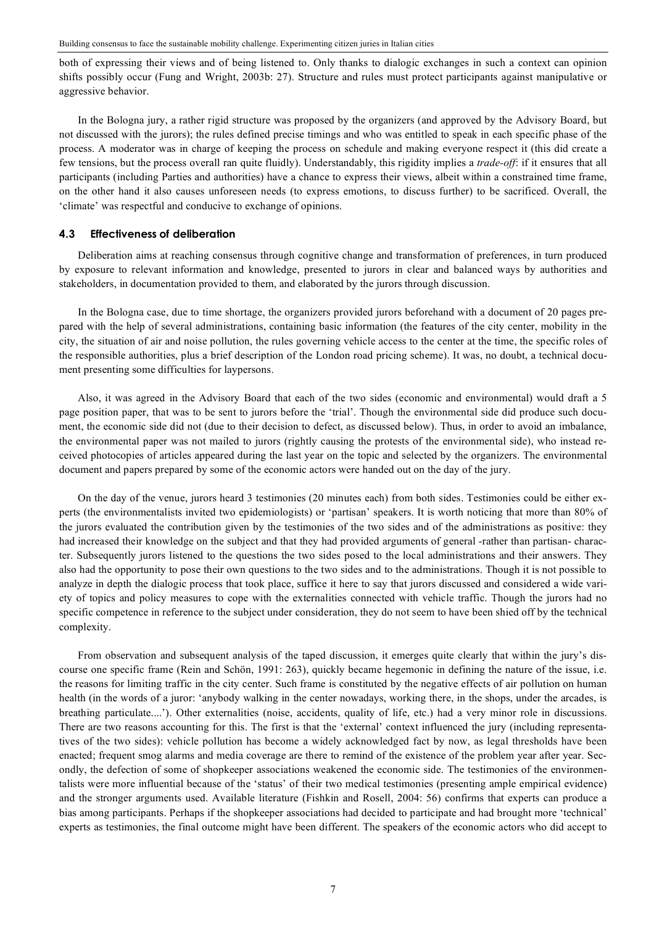both of expressing their views and of being listened to. Only thanks to dialogic exchanges in such a context can opinion shifts possibly occur (Fung and Wright, 2003b: 27). Structure and rules must protect participants against manipulative or aggressive behavior.

In the Bologna jury, a rather rigid structure was proposed by the organizers (and approved by the Advisory Board, but not discussed with the jurors); the rules defined precise timings and who was entitled to speak in each specific phase of the process. A moderator was in charge of keeping the process on schedule and making everyone respect it (this did create a few tensions, but the process overall ran quite fluidly). Understandably, this rigidity implies a *trade-off*: if it ensures that all participants (including Parties and authorities) have a chance to express their views, albeit within a constrained time frame, on the other hand it also causes unforeseen needs (to express emotions, to discuss further) to be sacrificed. Overall, the 'climate' was respectful and conducive to exchange of opinions.

#### **4.3 Effectiveness of deliberation**

Deliberation aims at reaching consensus through cognitive change and transformation of preferences, in turn produced by exposure to relevant information and knowledge, presented to jurors in clear and balanced ways by authorities and stakeholders, in documentation provided to them, and elaborated by the jurors through discussion.

In the Bologna case, due to time shortage, the organizers provided jurors beforehand with a document of 20 pages prepared with the help of several administrations, containing basic information (the features of the city center, mobility in the city, the situation of air and noise pollution, the rules governing vehicle access to the center at the time, the specific roles of the responsible authorities, plus a brief description of the London road pricing scheme). It was, no doubt, a technical document presenting some difficulties for laypersons.

Also, it was agreed in the Advisory Board that each of the two sides (economic and environmental) would draft a 5 page position paper, that was to be sent to jurors before the 'trial'. Though the environmental side did produce such document, the economic side did not (due to their decision to defect, as discussed below). Thus, in order to avoid an imbalance, the environmental paper was not mailed to jurors (rightly causing the protests of the environmental side), who instead received photocopies of articles appeared during the last year on the topic and selected by the organizers. The environmental document and papers prepared by some of the economic actors were handed out on the day of the jury.

On the day of the venue, jurors heard 3 testimonies (20 minutes each) from both sides. Testimonies could be either experts (the environmentalists invited two epidemiologists) or 'partisan' speakers. It is worth noticing that more than 80% of the jurors evaluated the contribution given by the testimonies of the two sides and of the administrations as positive: they had increased their knowledge on the subject and that they had provided arguments of general -rather than partisan- character. Subsequently jurors listened to the questions the two sides posed to the local administrations and their answers. They also had the opportunity to pose their own questions to the two sides and to the administrations. Though it is not possible to analyze in depth the dialogic process that took place, suffice it here to say that jurors discussed and considered a wide variety of topics and policy measures to cope with the externalities connected with vehicle traffic. Though the jurors had no specific competence in reference to the subject under consideration, they do not seem to have been shied off by the technical complexity.

From observation and subsequent analysis of the taped discussion, it emerges quite clearly that within the jury's discourse one specific frame (Rein and Schön, 1991: 263), quickly became hegemonic in defining the nature of the issue, i.e. the reasons for limiting traffic in the city center. Such frame is constituted by the negative effects of air pollution on human health (in the words of a juror: 'anybody walking in the center nowadays, working there, in the shops, under the arcades, is breathing particulate....'). Other externalities (noise, accidents, quality of life, etc.) had a very minor role in discussions. There are two reasons accounting for this. The first is that the 'external' context influenced the jury (including representatives of the two sides): vehicle pollution has become a widely acknowledged fact by now, as legal thresholds have been enacted; frequent smog alarms and media coverage are there to remind of the existence of the problem year after year. Secondly, the defection of some of shopkeeper associations weakened the economic side. The testimonies of the environmentalists were more influential because of the 'status' of their two medical testimonies (presenting ample empirical evidence) and the stronger arguments used. Available literature (Fishkin and Rosell, 2004: 56) confirms that experts can produce a bias among participants. Perhaps if the shopkeeper associations had decided to participate and had brought more 'technical' experts as testimonies, the final outcome might have been different. The speakers of the economic actors who did accept to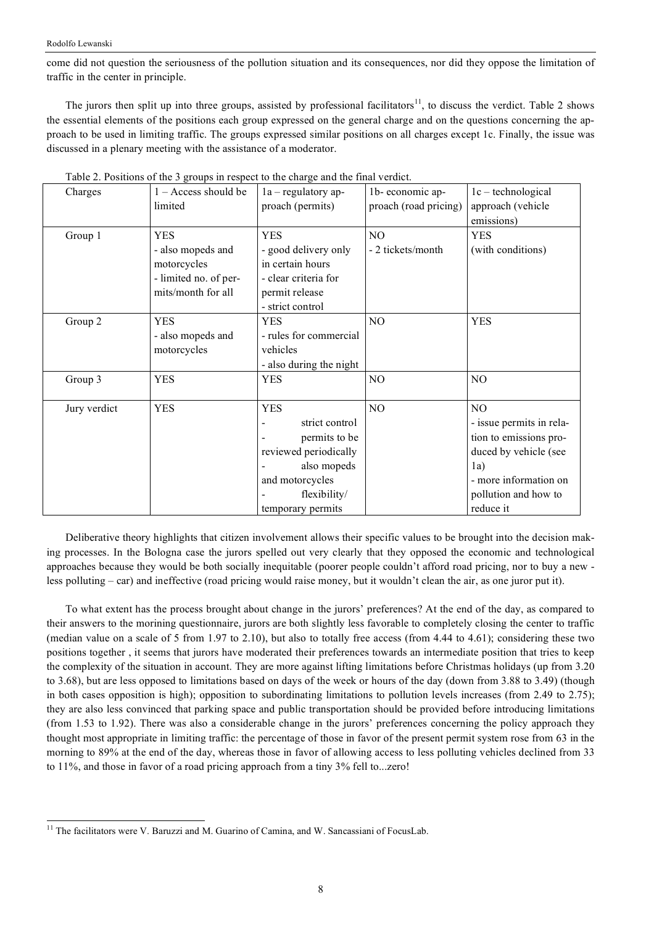#### Rodolfo Lewanski

come did not question the seriousness of the pollution situation and its consequences, nor did they oppose the limitation of traffic in the center in principle.

The jurors then split up into three groups, assisted by professional facilitators<sup>11</sup>, to discuss the verdict. Table 2 shows the essential elements of the positions each group expressed on the general charge and on the questions concerning the approach to be used in limiting traffic. The groups expressed similar positions on all charges except 1c. Finally, the issue was discussed in a plenary meeting with the assistance of a moderator.

| Charges      | $1 - Access$ should be | $1a$ – regulatory ap-   | 1b-economic ap-       | $1c - technological$     |
|--------------|------------------------|-------------------------|-----------------------|--------------------------|
|              | limited                | proach (permits)        | proach (road pricing) | approach (vehicle        |
|              |                        |                         |                       | emissions)               |
| Group 1      | <b>YES</b>             | <b>YES</b>              | NO                    | <b>YES</b>               |
|              | - also mopeds and      | - good delivery only    | - 2 tickets/month     | (with conditions)        |
|              | motorcycles            | in certain hours        |                       |                          |
|              | - limited no. of per-  | - clear criteria for    |                       |                          |
|              | mits/month for all     | permit release          |                       |                          |
|              |                        | - strict control        |                       |                          |
| Group 2      | <b>YES</b>             | <b>YES</b>              | N <sub>O</sub>        | <b>YES</b>               |
|              | - also mopeds and      | - rules for commercial  |                       |                          |
|              | motorcycles            | vehicles                |                       |                          |
|              |                        | - also during the night |                       |                          |
| Group 3      | <b>YES</b>             | <b>YES</b>              | NO                    | N <sub>O</sub>           |
|              |                        |                         |                       |                          |
| Jury verdict | <b>YES</b>             | <b>YES</b>              | NO                    | N <sub>O</sub>           |
|              |                        | strict control          |                       | - issue permits in rela- |
|              |                        | permits to be           |                       | tion to emissions pro-   |
|              |                        | reviewed periodically   |                       | duced by vehicle (see    |
|              |                        | also mopeds             |                       | 1a)                      |
|              |                        | and motorcycles         |                       | - more information on    |
|              |                        | flexibility/            |                       | pollution and how to     |
|              |                        | temporary permits       |                       | reduce it                |

Table 2. Positions of the 3 groups in respect to the charge and the final verdict.

Deliberative theory highlights that citizen involvement allows their specific values to be brought into the decision making processes. In the Bologna case the jurors spelled out very clearly that they opposed the economic and technological approaches because they would be both socially inequitable (poorer people couldn't afford road pricing, nor to buy a new less polluting – car) and ineffective (road pricing would raise money, but it wouldn't clean the air, as one juror put it).

To what extent has the process brought about change in the jurors' preferences? At the end of the day, as compared to their answers to the morining questionnaire, jurors are both slightly less favorable to completely closing the center to traffic (median value on a scale of 5 from 1.97 to 2.10), but also to totally free access (from 4.44 to 4.61); considering these two positions together , it seems that jurors have moderated their preferences towards an intermediate position that tries to keep the complexity of the situation in account. They are more against lifting limitations before Christmas holidays (up from 3.20 to 3.68), but are less opposed to limitations based on days of the week or hours of the day (down from 3.88 to 3.49) (though in both cases opposition is high); opposition to subordinating limitations to pollution levels increases (from 2.49 to 2.75); they are also less convinced that parking space and public transportation should be provided before introducing limitations (from 1.53 to 1.92). There was also a considerable change in the jurors' preferences concerning the policy approach they thought most appropriate in limiting traffic: the percentage of those in favor of the present permit system rose from 63 in the morning to 89% at the end of the day, whereas those in favor of allowing access to less polluting vehicles declined from 33 to 11%, and those in favor of a road pricing approach from a tiny 3% fell to...zero!

<sup>&</sup>lt;sup>11</sup> The facilitators were V. Baruzzi and M. Guarino of Camina, and W. Sancassiani of FocusLab.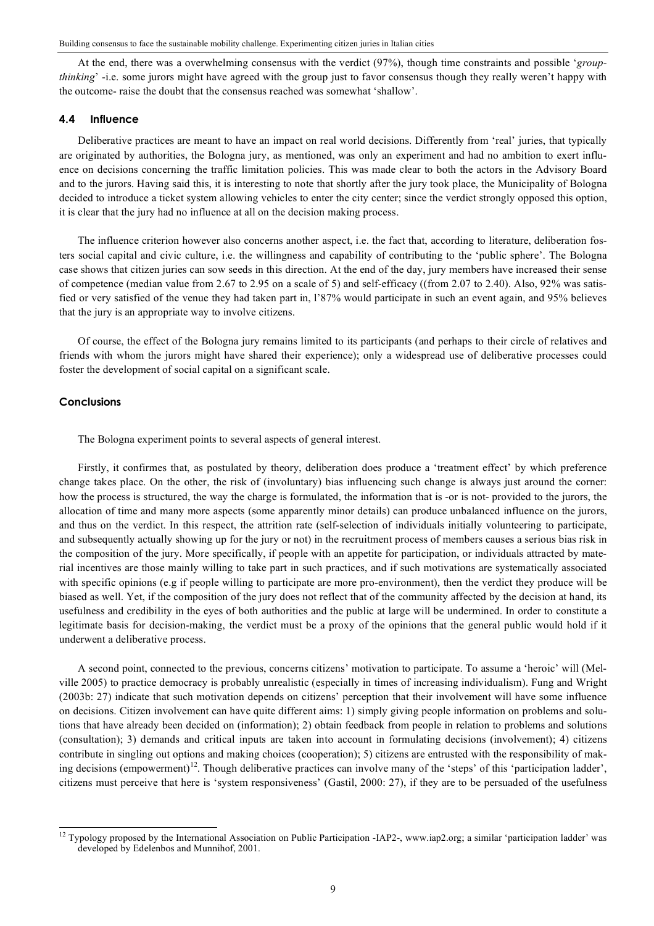At the end, there was a overwhelming consensus with the verdict (97%), though time constraints and possible '*groupthinking*' -i.e. some jurors might have agreed with the group just to favor consensus though they really weren't happy with the outcome- raise the doubt that the consensus reached was somewhat 'shallow'.

#### **4.4 Influence**

Deliberative practices are meant to have an impact on real world decisions. Differently from 'real' juries, that typically are originated by authorities, the Bologna jury, as mentioned, was only an experiment and had no ambition to exert influence on decisions concerning the traffic limitation policies. This was made clear to both the actors in the Advisory Board and to the jurors. Having said this, it is interesting to note that shortly after the jury took place, the Municipality of Bologna decided to introduce a ticket system allowing vehicles to enter the city center; since the verdict strongly opposed this option, it is clear that the jury had no influence at all on the decision making process.

The influence criterion however also concerns another aspect, i.e. the fact that, according to literature, deliberation fosters social capital and civic culture, i.e. the willingness and capability of contributing to the 'public sphere'. The Bologna case shows that citizen juries can sow seeds in this direction. At the end of the day, jury members have increased their sense of competence (median value from 2.67 to 2.95 on a scale of 5) and self-efficacy ((from 2.07 to 2.40). Also, 92% was satisfied or very satisfied of the venue they had taken part in, l'87% would participate in such an event again, and 95% believes that the jury is an appropriate way to involve citizens.

Of course, the effect of the Bologna jury remains limited to its participants (and perhaps to their circle of relatives and friends with whom the jurors might have shared their experience); only a widespread use of deliberative processes could foster the development of social capital on a significant scale.

# **Conclusions**

The Bologna experiment points to several aspects of general interest.

Firstly, it confirmes that, as postulated by theory, deliberation does produce a 'treatment effect' by which preference change takes place. On the other, the risk of (involuntary) bias influencing such change is always just around the corner: how the process is structured, the way the charge is formulated, the information that is -or is not- provided to the jurors, the allocation of time and many more aspects (some apparently minor details) can produce unbalanced influence on the jurors, and thus on the verdict. In this respect, the attrition rate (self-selection of individuals initially volunteering to participate, and subsequently actually showing up for the jury or not) in the recruitment process of members causes a serious bias risk in the composition of the jury. More specifically, if people with an appetite for participation, or individuals attracted by material incentives are those mainly willing to take part in such practices, and if such motivations are systematically associated with specific opinions (e.g if people willing to participate are more pro-environment), then the verdict they produce will be biased as well. Yet, if the composition of the jury does not reflect that of the community affected by the decision at hand, its usefulness and credibility in the eyes of both authorities and the public at large will be undermined. In order to constitute a legitimate basis for decision-making, the verdict must be a proxy of the opinions that the general public would hold if it underwent a deliberative process.

A second point, connected to the previous, concerns citizens' motivation to participate. To assume a 'heroic' will (Melville 2005) to practice democracy is probably unrealistic (especially in times of increasing individualism). Fung and Wright (2003b: 27) indicate that such motivation depends on citizens' perception that their involvement will have some influence on decisions. Citizen involvement can have quite different aims: 1) simply giving people information on problems and solutions that have already been decided on (information); 2) obtain feedback from people in relation to problems and solutions (consultation); 3) demands and critical inputs are taken into account in formulating decisions (involvement); 4) citizens contribute in singling out options and making choices (cooperation); 5) citizens are entrusted with the responsibility of making decisions (empowerment)<sup>12</sup>. Though deliberative practices can involve many of the 'steps' of this 'participation ladder', citizens must perceive that here is 'system responsiveness' (Gastil, 2000: 27), if they are to be persuaded of the usefulness

<sup>&</sup>lt;sup>12</sup> Typology proposed by the International Association on Public Participation -IAP2-, www.iap2.org; a similar 'participation ladder' was developed by Edelenbos and Munnihof, 2001.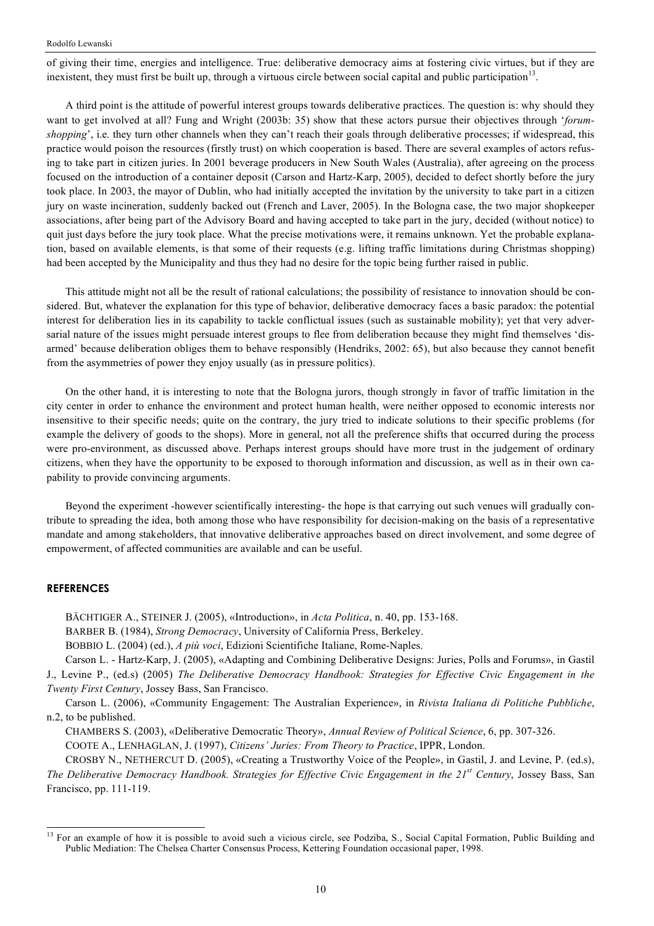of giving their time, energies and intelligence. True: deliberative democracy aims at fostering civic virtues, but if they are inexistent, they must first be built up, through a virtuous circle between social capital and public participation $1<sup>3</sup>$ .

A third point is the attitude of powerful interest groups towards deliberative practices. The question is: why should they want to get involved at all? Fung and Wright (2003b: 35) show that these actors pursue their objectives through '*forumshopping*', i.e. they turn other channels when they can't reach their goals through deliberative processes; if widespread, this practice would poison the resources (firstly trust) on which cooperation is based. There are several examples of actors refusing to take part in citizen juries. In 2001 beverage producers in New South Wales (Australia), after agreeing on the process focused on the introduction of a container deposit (Carson and Hartz-Karp, 2005), decided to defect shortly before the jury took place. In 2003, the mayor of Dublin, who had initially accepted the invitation by the university to take part in a citizen jury on waste incineration, suddenly backed out (French and Laver, 2005). In the Bologna case, the two major shopkeeper associations, after being part of the Advisory Board and having accepted to take part in the jury, decided (without notice) to quit just days before the jury took place. What the precise motivations were, it remains unknown. Yet the probable explanation, based on available elements, is that some of their requests (e.g. lifting traffic limitations during Christmas shopping) had been accepted by the Municipality and thus they had no desire for the topic being further raised in public.

This attitude might not all be the result of rational calculations; the possibility of resistance to innovation should be considered. But, whatever the explanation for this type of behavior, deliberative democracy faces a basic paradox: the potential interest for deliberation lies in its capability to tackle conflictual issues (such as sustainable mobility); yet that very adversarial nature of the issues might persuade interest groups to flee from deliberation because they might find themselves 'disarmed' because deliberation obliges them to behave responsibly (Hendriks, 2002: 65), but also because they cannot benefit from the asymmetries of power they enjoy usually (as in pressure politics).

On the other hand, it is interesting to note that the Bologna jurors, though strongly in favor of traffic limitation in the city center in order to enhance the environment and protect human health, were neither opposed to economic interests nor insensitive to their specific needs; quite on the contrary, the jury tried to indicate solutions to their specific problems (for example the delivery of goods to the shops). More in general, not all the preference shifts that occurred during the process were pro-environment, as discussed above. Perhaps interest groups should have more trust in the judgement of ordinary citizens, when they have the opportunity to be exposed to thorough information and discussion, as well as in their own capability to provide convincing arguments.

Beyond the experiment -however scientifically interesting- the hope is that carrying out such venues will gradually contribute to spreading the idea, both among those who have responsibility for decision-making on the basis of a representative mandate and among stakeholders, that innovative deliberative approaches based on direct involvement, and some degree of empowerment, of affected communities are available and can be useful.

# **REFERENCES**

BÄCHTIGER A., STEINER J. (2005), «Introduction», in *Acta Politica*, n. 40, pp. 153-168.

BARBER B. (1984), *Strong Democracy*, University of California Press, Berkeley.

BOBBIO L. (2004) (ed.), *A più voci*, Edizioni Scientifiche Italiane, Rome-Naples.

Carson L. - Hartz-Karp, J. (2005), «Adapting and Combining Deliberative Designs: Juries, Polls and Forums», in Gastil J., Levine P., (ed.s) (2005) *The Deliberative Democracy Handbook: Strategies for Effective Civic Engagement in the Twenty First Century*, Jossey Bass, San Francisco.

Carson L. (2006), «Community Engagement: The Australian Experience», in *Rivista Italiana di Politiche Pubbliche*, n.2, to be published.

CHAMBERS S. (2003), «Deliberative Democratic Theory», *Annual Review of Political Science*, 6, pp. 307-326. COOTE A., LENHAGLAN, J. (1997), *Citizens' Juries: From Theory to Practice*, IPPR, London.

CROSBY N., NETHERCUT D. (2005), «Creating a Trustworthy Voice of the People», in Gastil, J. and Levine, P. (ed.s), *The Deliberative Democracy Handbook. Strategies for Effective Civic Engagement in the 21st Century*, Jossey Bass, San Francisco, pp. 111-119.

<sup>&</sup>lt;sup>13</sup> For an example of how it is possible to avoid such a vicious circle, see Podziba, S., Social Capital Formation, Public Building and Public Mediation: The Chelsea Charter Consensus Process, Kettering Foundation occasional paper, 1998.